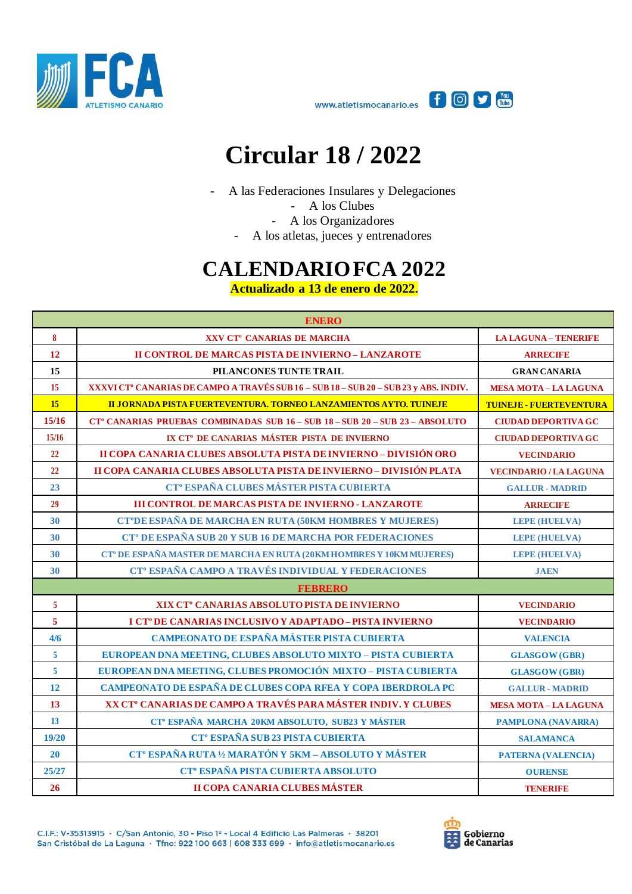



## **Circular 18 / 2022**

- A las Federaciones Insulares y Delegaciones

- A los Clubes

- A los Organizadores

- A los atletas, jueces y entrenadores

## **CALENDARIO FCA 2022**

**Actualizado a 13 de enero de 2022.**

| <b>ENERO</b>     |                                                                                          |                                |  |
|------------------|------------------------------------------------------------------------------------------|--------------------------------|--|
| $\boldsymbol{8}$ | XXV CT° CANARIAS DE MARCHA                                                               | <b>LA LAGUNA - TENERIFE</b>    |  |
| 12               | II CONTROL DE MARCAS PISTA DE INVIERNO - LANZAROTE                                       | <b>ARRECIFE</b>                |  |
| 15               | PILANCONES TUNTE TRAIL                                                                   | <b>GRAN CANARIA</b>            |  |
| 15               | XXXVI CT° CANARIAS DE CAMPO A TRAVÉS SUB 16 - SUB 18 - SUB 20 - SUB 23 y ABS. INDIV.     | <b>MESA MOTA-LA LAGUNA</b>     |  |
| <b>15</b>        | II JORNADA PISTA FUERTEVENTURA. TORNEO LANZAMIENTOS AYTO. TUINEJE                        | <b>TUINEJE - FUERTEVENTURA</b> |  |
| 15/16            | CT <sup>°</sup> CANARIAS PRUEBAS COMBINADAS SUB 16 - SUB 18 - SUB 20 - SUB 23 - ABSOLUTO | <b>CIUDAD DEPORTIVA GC</b>     |  |
| 15/16            | IX CT <sup>°</sup> DE CANARIAS MÁSTER PISTA DE INVIERNO                                  | <b>CIUDAD DEPORTIVA GC</b>     |  |
| 22               | II COPA CANARIA CLUBES ABSOLUTA PISTA DE INVIERNO - DIVISIÓN ORO                         | <b>VECINDARIO</b>              |  |
| 22               | II COPA CANARIA CLUBES ABSOLUTA PISTA DE INVIERNO - DIVISIÓN PLATA                       | <b>VECINDARIO / LA LAGUNA</b>  |  |
| 23               | CT <sup>®</sup> ESPAÑA CLUBES MÁSTER PISTA CUBIERTA                                      | <b>GALLUR - MADRID</b>         |  |
| 29               | <b>III CONTROL DE MARCAS PISTA DE INVIERNO - LANZAROTE</b>                               | <b>ARRECIFE</b>                |  |
| 30               | CT°DE ESPAÑA DE MARCHA EN RUTA (50KM HOMBRES Y MUJERES)                                  | <b>LEPE (HUELVA)</b>           |  |
| 30               | CT <sup>°</sup> DE ESPAÑA SUB 20 Y SUB 16 DE MARCHA POR FEDERACIONES                     | <b>LEPE (HUELVA)</b>           |  |
| 30               | CT <sup>°</sup> DE ESPAÑA MASTER DE MARCHA EN RUTA (20KM HOMBRES Y 10KM MUJERES)         | <b>LEPE (HUELVA)</b>           |  |
| 30               | CT <sup>°</sup> ESPAÑA CAMPO A TRAVÉS INDIVIDUAL Y FEDERACIONES                          | <b>JAEN</b>                    |  |
|                  | <b>FEBRERO</b>                                                                           |                                |  |
| 5                | XIX CT <sup>°</sup> CANARIAS ABSOLUTO PISTA DE INVIERNO                                  | <b>VECINDARIO</b>              |  |
| 5                | I CT <sup>°</sup> DE CANARIAS INCLUSIVO Y ADAPTADO - PISTA INVIERNO                      | <b>VECINDARIO</b>              |  |
| 4/6              | CAMPEONATO DE ESPAÑA MÁSTER PISTA CUBIERTA                                               | <b>VALENCIA</b>                |  |
| 5                | EUROPEAN DNA MEETING, CLUBES ABSOLUTO MIXTO - PISTA CUBIERTA                             | <b>GLASGOW (GBR)</b>           |  |
| $\overline{5}$   | EUROPEAN DNA MEETING, CLUBES PROMOCIÓN MIXTO - PISTA CUBIERTA                            | <b>GLASGOW (GBR)</b>           |  |
| 12               | CAMPEONATO DE ESPAÑA DE CLUBES COPA RFEA Y COPA IBERDROLA PC                             | <b>GALLUR - MADRID</b>         |  |
| 13               | XX CT <sup>°</sup> CANARIAS DE CAMPO A TRAVÉS PARA MÁSTER INDIV. Y CLUBES                | <b>MESA MOTA - LA LAGUNA</b>   |  |
| <b>13</b>        | CT <sup>°</sup> ESPAÑA MARCHA 20KM ABSOLUTO, SUB23 Y MÁSTER                              | <b>PAMPLONA (NAVARRA)</b>      |  |
| 19/20            | CT <sup>°</sup> ESPAÑA SUB 23 PISTA CUBIERTA                                             | <b>SALAMANCA</b>               |  |
| <b>20</b>        | CT <sup>°</sup> ESPAÑA RUTA 1/2 MARATÓN Y 5KM - ABSOLUTO Y MÁSTER                        | <b>PATERNA (VALENCIA)</b>      |  |
| 25/27            | CT <sup>°</sup> ESPAÑA PISTA CUBIERTA ABSOLUTO                                           | <b>OURENSE</b>                 |  |
| 26               | II COPA CANARIA CLUBES MÁSTER                                                            | <b>TENERIFE</b>                |  |

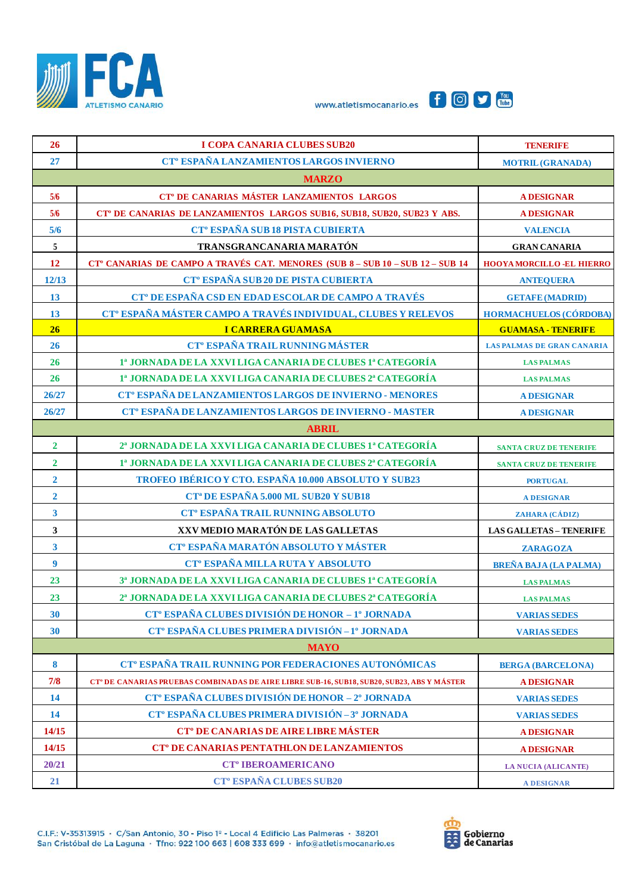





| 26               | <b>I COPA CANARIA CLUBES SUB20</b>                                                                     | <b>TENERIFE</b>                   |  |  |
|------------------|--------------------------------------------------------------------------------------------------------|-----------------------------------|--|--|
| 27               | CT <sup>°</sup> ESPAÑA LANZAMIENTOS LARGOS INVIERNO                                                    | <b>MOTRIL (GRANADA)</b>           |  |  |
| <b>MARZO</b>     |                                                                                                        |                                   |  |  |
| 5/6              | CT <sup>°</sup> DE CANARIAS MÁSTER LANZAMIENTOS LARGOS                                                 | <b>A DESIGNAR</b>                 |  |  |
| 5/6              | CT <sup>°</sup> DE CANARIAS DE LANZAMIENTOS LARGOS SUB16, SUB18, SUB20, SUB23 Y ABS.                   | <b>A DESIGNAR</b>                 |  |  |
| 5/6              | CT <sup>°</sup> ESPAÑA SUB 18 PISTA CUBIERTA                                                           | <b>VALENCIA</b>                   |  |  |
| $\overline{5}$   | TRANSGRANCANARIA MARATÓN                                                                               | <b>GRAN CANARIA</b>               |  |  |
| 12               | CT° CANARIAS DE CAMPO A TRAVÉS CAT. MENORES (SUB 8 - SUB 10 - SUB 12 - SUB 14                          | <b>HOOYA MORCILLO -EL HIERRO</b>  |  |  |
| 12/13            | CT <sup>°</sup> ESPAÑA SUB 20 DE PISTA CUBIERTA                                                        | <b>ANTEQUERA</b>                  |  |  |
| 13               | CT <sup>°</sup> DE ESPAÑA CSD EN EDAD ESCOLAR DE CAMPO A TRAVÉS                                        | <b>GETAFE (MADRID)</b>            |  |  |
| 13               | CT <sup>°</sup> ESPAÑA MÁSTER CAMPO A TRAVÉS INDIVIDUAL, CLUBES Y RELEVOS                              | <b>HORMACHUELOS (CÓRDOBA)</b>     |  |  |
| 26               | <b>I CARRERA GUAMASA</b>                                                                               | <b>GUAMASA - TENERIFE</b>         |  |  |
| 26               | <b>CT<sup>°</sup> ESPAÑA TRAIL RUNNING MÁSTER</b>                                                      | <b>LAS PALMAS DE GRAN CANARIA</b> |  |  |
| 26               | 1ª JORNADA DE LA XXVI LIGA CANARIA DE CLUBES 1ª CATEGORÍA                                              | <b>LAS PALMAS</b>                 |  |  |
| 26               | 1ª JORNADA DE LA XXVI LIGA CANARIA DE CLUBES 2ª CATEGORÍA                                              | <b>LAS PALMAS</b>                 |  |  |
| 26/27            | CT <sup>°</sup> ESPAÑA DE LANZAMIENTOS LARGOS DE INVIERNO - MENORES                                    | <b>ADESIGNAR</b>                  |  |  |
| 26/27            | CT <sup>°</sup> ESPAÑA DE LANZAMIENTOS LARGOS DE INVIERNO - MASTER                                     | <b>ADESIGNAR</b>                  |  |  |
|                  | <b>ABRIL</b>                                                                                           |                                   |  |  |
| $\overline{2}$   | 2ª JORNADA DE LA XXVI LIGA CANARIA DE CLUBES 1ª CATEGORÍA                                              | <b>SANTA CRUZ DE TENERIFE</b>     |  |  |
| $\overline{2}$   | 1ª JORNADA DE LA XXVI LIGA CANARIA DE CLUBES 2ª CATEGORÍA                                              | <b>SANTA CRUZ DE TENERIFE</b>     |  |  |
| $\overline{2}$   | TROFEO IBÉRICO Y CTO. ESPAÑA 10.000 ABSOLUTO Y SUB23                                                   | <b>PORTUGAL</b>                   |  |  |
| $\overline{2}$   | <b>CT<sup>a</sup> DE ESPAÑA 5.000 ML SUB20 Y SUB18</b>                                                 | <b>A DESIGNAR</b>                 |  |  |
| $\mathbf{3}$     | <b>CT<sup>°</sup> ESPAÑA TRAIL RUNNING ABSOLUTO</b>                                                    | ZAHARA (CÁDIZ)                    |  |  |
| 3                | XXV MEDIO MARATÓN DE LAS GALLETAS                                                                      | <b>LAS GALLETAS - TENERIFE</b>    |  |  |
| $\mathbf{3}$     | CT <sup>°</sup> ESPAÑA MARATÓN ABSOLUTO Y MÁSTER                                                       | <b>ZARAGOZA</b>                   |  |  |
| $\boldsymbol{9}$ | CT <sup>°</sup> ESPAÑA MILLA RUTA Y ABSOLUTO                                                           | <b>BREÑA BAJA (LA PALMA)</b>      |  |  |
| 23               | 3ª JORNADA DE LA XXVI LIGA CANARIA DE CLUBES 1ª CATEGORÍA                                              | <b>LAS PALMAS</b>                 |  |  |
| 23               | 2ª JORNADA DE LA XXVI LIGA CANARIA DE CLUBES 2ª CATEGORÍA                                              | <b>LAS PALMAS</b>                 |  |  |
| 30               | CT <sup>°</sup> ESPAÑA CLUBES DIVISIÓN DE HONOR - 1° JORNADA                                           | <b>VARIAS SEDES</b>               |  |  |
| 30               | CT <sup>°</sup> ESPAÑA CLUBES PRIMERA DIVISIÓN-1 <sup>°</sup> JORNADA                                  | <b>VARIAS SEDES</b>               |  |  |
| <b>MAYO</b>      |                                                                                                        |                                   |  |  |
| 8                | CT <sup>°</sup> ESPAÑA TRAIL RUNNING POR FEDERACIONES AUTONÓMICAS                                      | <b>BERGA (BARCELONA)</b>          |  |  |
| 7/8              | CT <sup>®</sup> DE CANARIAS PRUEBAS COMBINADAS DE AIRE LIBRE SUB-16, SUB18, SUB20, SUB23, ABS Y MÁSTER | <b>A DESIGNAR</b>                 |  |  |
| 14               | CT <sup>°</sup> ESPAÑA CLUBES DIVISIÓN DE HONOR - 2º JORNADA                                           | <b>VARIAS SEDES</b>               |  |  |
| 14               | CT <sup>°</sup> ESPAÑA CLUBES PRIMERA DIVISIÓN-3 <sup>°</sup> JORNADA                                  | <b>VARIAS SEDES</b>               |  |  |
| 14/15            | <b>CT<sup>°</sup> DE CANARIAS DE AIRE LIBRE MÁSTER</b>                                                 | <b>A DESIGNAR</b>                 |  |  |
| 14/15            | <b>CT<sup>°</sup> DE CANARIAS PENTATHLON DE LANZAMIENTOS</b>                                           | <b>A DESIGNAR</b>                 |  |  |
| 20/21            | <b>CT<sup>°</sup> IBEROAMERICANO</b>                                                                   | <b>LA NUCIA (ALICANTE)</b>        |  |  |
| 21               | <b>CT<sup>°</sup> ESPAÑA CLUBES SUB20</b>                                                              | <b>A DESIGNAR</b>                 |  |  |

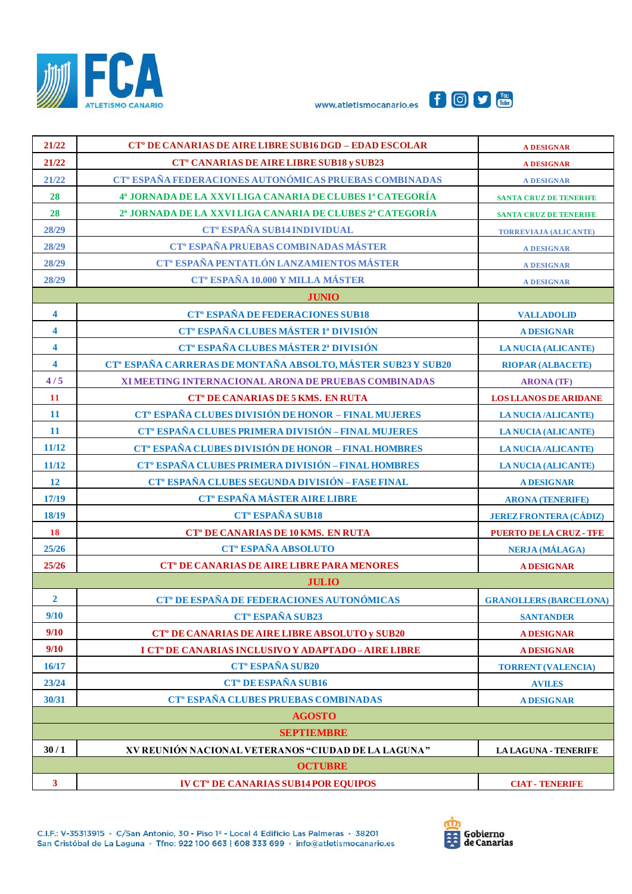





| 21/22                   | CT <sup>°</sup> DE CANARIAS DE AIRE LIBRE SUB16 DGD - EDAD ESCOLAR       | <b>A DESIGNAR</b>              |  |  |
|-------------------------|--------------------------------------------------------------------------|--------------------------------|--|--|
| 21/22                   | CT <sup>o</sup> CANARIAS DE AIRE LIBRE SUB18 y SUB23                     | <b>A DESIGNAR</b>              |  |  |
| 21/22                   | CT <sup>°</sup> ESPAÑA FEDERACIONES AUTONÓMICAS PRUEBAS COMBINADAS       | <b>A DESIGNAR</b>              |  |  |
| 28                      | 4ª JORNADA DE LA XXVI LIGA CANARIA DE CLUBES 1ª CATEGORÍA                | <b>SANTA CRUZ DE TENERIFE</b>  |  |  |
| 28                      | 2ª JORNADA DE LA XXVI LIGA CANARIA DE CLUBES 2ª CATEGORÍA                | <b>SANTA CRUZ DE TENERIFE</b>  |  |  |
| 28/29                   | <b>CT<sup>°</sup> ESPAÑA SUB14 INDIVIDUAL</b>                            | <b>TORREVIAJA (ALICANTE)</b>   |  |  |
| 28/29                   | CT <sup>°</sup> ESPAÑA PRUEBAS COMBINADAS MÁSTER                         | <b>A DESIGNAR</b>              |  |  |
| 28/29                   | CT° ESPAÑA PENTATLÓN LANZAMIENTOS MÁSTER                                 | <b>A DESIGNAR</b>              |  |  |
| 28/29                   | <b>CT<sup>°</sup> ESPAÑA 10.000 Y MILLA MÁSTER</b>                       | <b>A DESIGNAR</b>              |  |  |
|                         | <b>JUNIO</b>                                                             |                                |  |  |
| $\overline{\mathbf{4}}$ | <b>CT<sup>°</sup> ESPAÑA DE FEDERACIONES SUB18</b>                       | <b>VALLADOLID</b>              |  |  |
| $\overline{\mathbf{4}}$ | CT <sup>°</sup> ESPAÑA CLUBES MÁSTER 1ª DIVISIÓN                         | <b>A DESIGNAR</b>              |  |  |
| $\overline{\mathbf{4}}$ | CT <sup>°</sup> ESPAÑA CLUBES MÁSTER 2ª DIVISIÓN                         | <b>LA NUCIA (ALICANTE)</b>     |  |  |
| $\overline{\mathbf{4}}$ | CT <sup>°</sup> ESPAÑA CARRERAS DE MONTAÑA ABSOLTO, MÁSTER SUB23 Y SUB20 | <b>RIOPAR (ALBACETE)</b>       |  |  |
| 4/5                     | XI MEETING INTERNACIONAL ARONA DE PRUEBAS COMBINADAS                     | <b>ARONA</b> (TF)              |  |  |
| <b>11</b>               | CT <sup>°</sup> DE CANARIAS DE 5 KMS. EN RUTA                            | <b>LOS LLANOS DE ARIDANE</b>   |  |  |
| 11                      | CT <sup>°</sup> ESPAÑA CLUBES DIVISIÓN DE HONOR - FINAL MUJERES          | <b>LA NUCIA /ALICANTE)</b>     |  |  |
| 11                      | CT <sup>°</sup> ESPAÑA CLUBES PRIMERA DIVISIÓN - FINAL MUJERES           | <b>LA NUCIA (ALICANTE)</b>     |  |  |
| 11/12                   | CT <sup>°</sup> ESPAÑA CLUBES DIVISIÓN DE HONOR - FINAL HOMBRES          | <b>LA NUCIA /ALICANTE)</b>     |  |  |
| 11/12                   | CT <sup>°</sup> ESPAÑA CLUBES PRIMERA DIVISIÓN - FINAL HOMBRES           | <b>LA NUCIA (ALICANTE)</b>     |  |  |
| <b>12</b>               | CT <sup>°</sup> ESPAÑA CLUBES SEGUNDA DIVISIÓN - FASE FINAL              | <b>A DESIGNAR</b>              |  |  |
| 17/19                   | CT <sup>°</sup> ESPAÑA MÁSTER AIRE LIBRE                                 | <b>ARONA (TENERIFE)</b>        |  |  |
| 18/19                   | <b>CT<sup>°</sup> ESPAÑA SUB18</b>                                       | <b>JEREZ FRONTERA (CÁDIZ)</b>  |  |  |
| <b>18</b>               | <b>CT<sup>°</sup> DE CANARIAS DE 10 KMS. EN RUTA</b>                     | <b>PUERTO DE LA CRUZ - TFE</b> |  |  |
| 25/26                   | <b>CT° ESPAÑA ABSOLUTO</b>                                               | <b>NERJA (MÁLAGA)</b>          |  |  |
| 25/26                   | <b>CT<sup>°</sup> DE CANARIAS DE AIRE LIBRE PARA MENORES</b>             | <b>A DESIGNAR</b>              |  |  |
|                         | <b>JULIO</b>                                                             |                                |  |  |
| $\overline{2}$          | CT <sup>°</sup> DE ESPAÑA DE FEDERACIONES AUTONÓMICAS                    | <b>GRANOLLERS (BARCELONA)</b>  |  |  |
| 9/10                    | CT <sup>o</sup> ESPAÑA SUB23                                             | <b>SANTANDER</b>               |  |  |
| 9/10                    | <b>CT<sup>°</sup> DE CANARIAS DE AIRE LIBRE ABSOLUTO y SUB20</b>         | <b>A DESIGNAR</b>              |  |  |
| 9/10                    | I CT <sup>°</sup> DE CANARIAS INCLUSIVO Y ADAPTADO-AIRE LIBRE            | <b>A DESIGNAR</b>              |  |  |
| 16/17                   | <b>CT<sup>°</sup> ESPAÑA SUB20</b>                                       | <b>TORRENT (VALENCIA)</b>      |  |  |
| 23/24                   | <b>CT<sup>°</sup> DE ESPAÑA SUB16</b>                                    | <b>AVILES</b>                  |  |  |
| 30/31                   | CT <sup>°</sup> ESPAÑA CLUBES PRUEBAS COMBINADAS                         | <b>ADESIGNAR</b>               |  |  |
| <b>AGOSTO</b>           |                                                                          |                                |  |  |
| <b>SEPTIEMBRE</b>       |                                                                          |                                |  |  |
| 30/1                    | XV REUNIÓN NACIONAL VETERANOS "CIUDAD DE LA LAGUNA"                      | <b>LA LAGUNA - TENERIFE</b>    |  |  |
|                         | <b>OCTUBRE</b>                                                           |                                |  |  |
| $\mathbf{3}$            | <b>IV CT<sup>°</sup> DE CANARIAS SUB14 POR EQUIPOS</b>                   | <b>CIAT - TENERIFE</b>         |  |  |